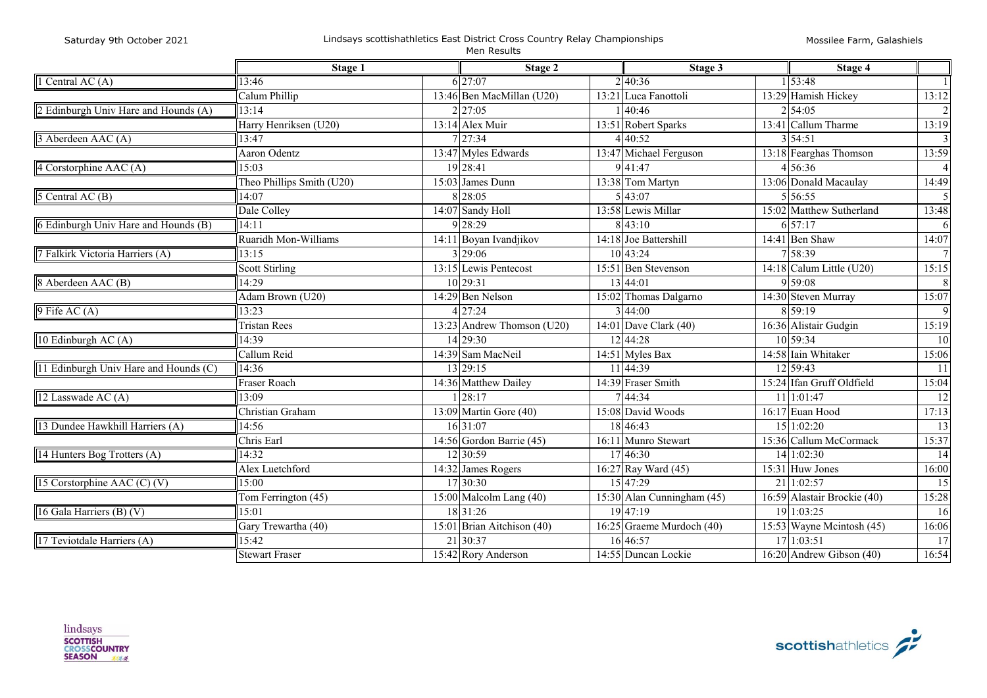|                                       | Stage 1                   |  | Stage 2                             |  | Stage 3                     |  | Stage 4                     |                 |
|---------------------------------------|---------------------------|--|-------------------------------------|--|-----------------------------|--|-----------------------------|-----------------|
| 1 Central AC $(A)$                    | 13:46                     |  | 6 27:07                             |  | 2 40:36                     |  | 1 53:48                     | -1              |
|                                       | Calum Phillip             |  | 13:46 Ben MacMillan (U20)           |  | 13:21 Luca Fanottoli        |  | 13:29 Hamish Hickey         | 13:12           |
| 2 Edinburgh Univ Hare and Hounds (A)  | 13:14                     |  | 2 27:05                             |  | 40:46                       |  | 2 54:05                     | $\overline{2}$  |
|                                       | Harry Henriksen (U20)     |  | 13:14 Alex Muir                     |  | 13:51 Robert Sparks         |  | 13:41 Callum Tharme         | 13:19           |
| 3 Aberdeen AAC (A)                    | 13:47                     |  | 7 27:34                             |  | 4 40:52                     |  | 3 54:51                     | 3               |
|                                       | <b>Aaron Odentz</b>       |  | 13:47 Myles Edwards                 |  | 13:47 Michael Ferguson      |  | 13:18 Fearghas Thomson      | 13:59           |
| 4 Corstorphine AAC (A)                | 15:03                     |  | 19 28:41                            |  | 9 41:47                     |  | 4 56:36                     | $\overline{4}$  |
|                                       | Theo Phillips Smith (U20) |  | 15:03 James Dunn                    |  | 13:38 Tom Martyn            |  | 13:06 Donald Macaulay       | 14:49           |
| 5 Central AC (B)                      | 14:07                     |  | 8 28:05                             |  | 5 43:07                     |  | 5 56:55                     | 5               |
|                                       | Dale Colley               |  | 14:07 Sandy Holl                    |  | 13:58 Lewis Millar          |  | 15:02 Matthew Sutherland    | 13:48           |
| 6 Edinburgh Univ Hare and Hounds (B)  | 14:11                     |  | 9 28:29                             |  | 8 43:10                     |  | 6 57:17                     | 6               |
|                                       | Ruaridh Mon-Williams      |  | 14:11 Boyan Ivandjikov              |  | 14:18 Joe Battershill       |  | 14:41 Ben Shaw              | 14:07           |
| 7 Falkirk Victoria Harriers (A)       | 13:15                     |  | 3 29:06                             |  | 10 43:24                    |  | 7 58:39                     | $\overline{7}$  |
|                                       | Scott Stirling            |  | 13:15 Lewis Pentecost               |  | 15:51 Ben Stevenson         |  | $14:18$ Calum Little (U20)  | 15:15           |
| 8 Aberdeen AAC (B)                    | 14:29                     |  | 10 29:31                            |  | 13 44:01                    |  | 9 59:08                     | 8               |
|                                       | Adam Brown (U20)          |  | 14:29 Ben Nelson                    |  | 15:02 Thomas Dalgarno       |  | 14:30 Steven Murray         | 15:07           |
| $9$ Fife AC (A)                       | 13:23                     |  | 427:24                              |  | 3 44:00                     |  | 8 59:19                     | $\overline{9}$  |
|                                       | <b>Tristan Rees</b>       |  | 13:23 Andrew Thomson (U20)          |  | 14:01 Dave Clark (40)       |  | 16:36 Alistair Gudgin       | 15:19           |
| 10 Edinburgh AC $(A)$                 | 14:39                     |  | 14 29:30                            |  | 12 44:28                    |  | 10 59:34                    | 10              |
|                                       | Callum Reid               |  | 14:39 Sam MacNeil                   |  | 14:51 Myles Bax             |  | 14:58 Iain Whitaker         | 15:06           |
| 11 Edinburgh Univ Hare and Hounds (C) | 14:36                     |  | 13 29:15                            |  | 11 44:39                    |  | 12 59:43                    | -11             |
|                                       | Fraser Roach              |  | 14:36 Matthew Dailey                |  | 14:39 Fraser Smith          |  | 15:24 Ifan Gruff Oldfield   | 15:04           |
| 12 Lasswade AC (A)                    | 13:09                     |  | 28:17                               |  | 744:34                      |  | 11 1:01:47                  | 12              |
|                                       | Christian Graham          |  | $\overline{13:09}$ Martin Gore (40) |  | 15:08 David Woods           |  | 16:17 Euan Hood             | 17:13           |
| 13 Dundee Hawkhill Harriers (A)       | 14:56                     |  | 16 31:07                            |  | 18 46:43                    |  | $15 \overline{)1:02:20}$    | 13              |
|                                       | Chris Earl                |  | 14:56 Gordon Barrie (45)            |  | $16:11$ Munro Stewart       |  | 15:36 Callum McCormack      | 15:37           |
| 14 Hunters Bog Trotters $(A)$         | 14:32                     |  | 12 30:59                            |  | 17 46:30                    |  | 14 1:02:30                  | $\overline{14}$ |
|                                       | Alex Luetchford           |  | $14:32$ James Rogers                |  | 16:27 Ray Ward (45)         |  | 15:31 Huw Jones             | 16:00           |
| 15 Corstorphine AAC $(C)$ $(V)$       | 15:00                     |  | 17 30:30                            |  | 15 47:29                    |  | 21 1:02:57                  | 15              |
|                                       | Tom Ferrington (45)       |  | 15:00 Malcolm Lang (40)             |  | 15:30 Alan Cunningham (45)  |  | 16:59 Alastair Brockie (40) | 15:28           |
| 16 Gala Harriers (B) $(V)$            | 15:01                     |  | 18 31:26                            |  | 19 47:19                    |  | 19 1:03:25                  | 16              |
|                                       | Gary Trewartha (40)       |  | 15:01 Brian Aitchison (40)          |  | 16:25 Graeme Murdoch $(40)$ |  | 15:53 Wayne Meintosh (45)   | 16:06           |
| 17 Teviotdale Harriers (A)            | 15:42                     |  | 21 30:37                            |  | 16 46:57                    |  | 17 1:03:51                  | $\overline{17}$ |
|                                       | <b>Stewart Fraser</b>     |  | 15:42 Rory Anderson                 |  | 14:55 Duncan Lockie         |  | 16:20 Andrew Gibson (40)    | 16:54           |

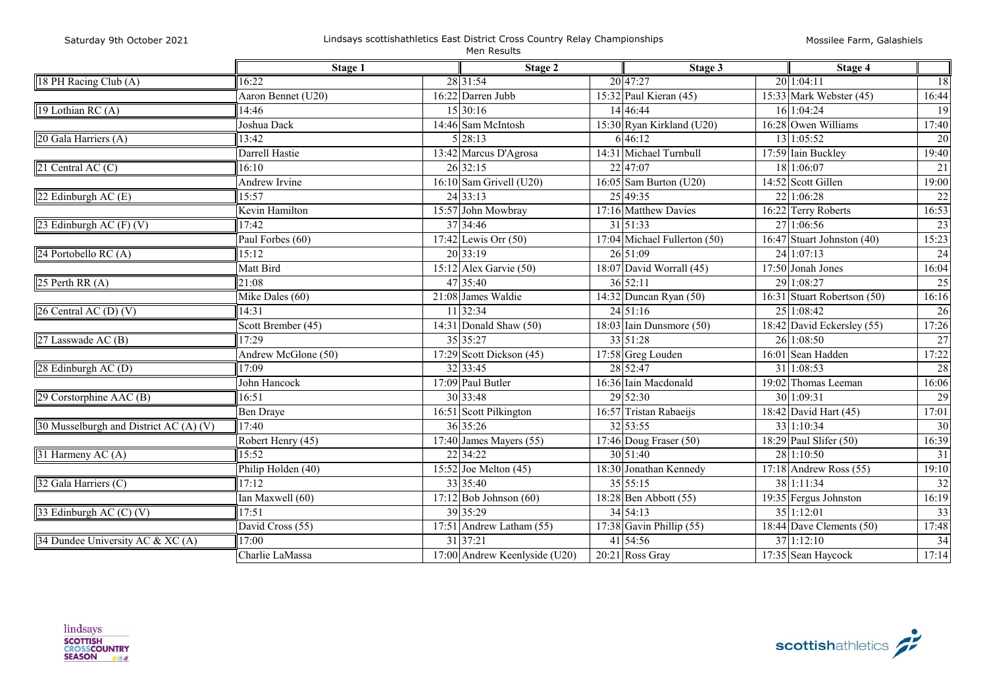| Saturday 9th October 2021 |  |  |  |
|---------------------------|--|--|--|
|---------------------------|--|--|--|

#### Lindsays scottishathletics East District Cross Country Relay Championships Men Results

|                                        | Stage 1             |  | Stage 2                            |  | Stage 3                      |  | Stage 4                        |               |
|----------------------------------------|---------------------|--|------------------------------------|--|------------------------------|--|--------------------------------|---------------|
| 18 PH Racing Club (A)                  | 16:22               |  | 28 31:54                           |  | 20 47:27                     |  | 20 1:04:11                     | 18            |
|                                        | Aaron Bennet (U20)  |  | 16:22 Darren Jubb                  |  | 15:32 Paul Kieran (45)       |  | 15:33 Mark Webster $(45)$      | 16:44         |
| 19 Lothian RC (A)                      | 14:46               |  | 15 30:16                           |  | 14 46:44                     |  | 16 1:04:24                     | <sup>19</sup> |
|                                        | Joshua Dack         |  | 14:46 Sam McIntosh                 |  | 15:30 Ryan Kirkland (U20)    |  | $16:28$ Owen Williams          | 17:40         |
| 20 Gala Harriers (A)                   | 13:42               |  | 5 28:13                            |  | 6 46:12                      |  | 13 1:05:52                     | 20            |
|                                        | Darrell Hastie      |  | 13:42 Marcus D'Agrosa              |  | 14:31 Michael Turnbull       |  | 17:59 Iain Buckley             | 19:40         |
| 21 Central AC (C)                      | 16:10               |  | 26 32:15                           |  | 22 47:07                     |  | 18 1:06:07                     | 21            |
|                                        | Andrew Irvine       |  | $16:10$ Sam Grivell (U20)          |  | $16:05$ Sam Burton (U20)     |  | 14:52 Scott Gillen             | 19:00         |
| 22 Edinburgh AC (E)                    | 15:57               |  | 24 33:13                           |  | 25 49:35                     |  | 22 1:06:28                     | 22            |
|                                        | Kevin Hamilton      |  | 15:57 John Mowbray                 |  | 17:16 Matthew Davies         |  | 16:22 Terry Roberts            | 16:53         |
| 23 Edinburgh AC $(F)$ $(V)$            | 17:42               |  | 37 34:46                           |  | $31\overline{)51:33}$        |  | 27 1:06:56                     | 23            |
|                                        | Paul Forbes (60)    |  | 17:42 Lewis Orr $(50)$             |  | 17:04 Michael Fullerton (50) |  | 16:47 Stuart Johnston (40)     | 15:23         |
| 24 Portobello RC (A)                   | 15:12               |  | $\overline{20}$ 33:19              |  | 26 51:09                     |  | $24 \mid 1:07:13$              | 24            |
|                                        | Matt Bird           |  | $15:12$ Alex Garvie (50)           |  | 18:07 David Worrall (45)     |  | $17:50$ Jonah Jones            | 16:04         |
| 25 Perth RR $(A)$                      | 21:08               |  | 47 35:40                           |  | 36 52:11                     |  | 29 1:08:27                     | 25            |
|                                        | Mike Dales (60)     |  | 21:08 James Waldie                 |  | 14:32 Duncan Ryan $(50)$     |  | 16:31 Stuart Robertson (50)    | 16:16         |
| $26$ Central AC (D) (V)                | 14:31               |  | 11 32:34                           |  | $24\overline{51:16}$         |  | 25 1:08:42                     | 26            |
|                                        | Scott Brember (45)  |  | 14:31 Donald Shaw (50)             |  | 18:03 Iain Dunsmore (50)     |  | 18:42 David Eckersley (55)     | 17:26         |
| 27 Lasswade AC (B)                     | 17:29               |  | 35 35:27                           |  | 33 51:28                     |  | 26 1:08:50                     | $27\,$        |
|                                        | Andrew McGlone (50) |  | $17:29$ Scott Dickson (45)         |  | 17:58 Greg Louden            |  | $\overline{16:01}$ Sean Hadden | 17:22         |
| 28 Edinburgh AC (D)                    | 17:09               |  | 32 33:45                           |  | 28 52:47                     |  | 31 1:08:53                     | 28            |
|                                        | John Hancock        |  | 17:09 Paul Butler                  |  | 16:36 Iain Macdonald         |  | 19:02 Thomas Leeman            | 16:06         |
| 29 Corstorphine AAC $(B)$              | 16:51               |  | 30 33:48                           |  | 29 52:30                     |  | 30 1:09:31                     | 29            |
|                                        | Ben Draye           |  | 16:51 Scott Pilkington             |  | 16:57 Tristan Rabaeijs       |  | 18:42 David Hart (45)          | 17:01         |
| 30 Musselburgh and District AC (A) (V) | 17:40               |  | 36 35:26                           |  | 32 53:55                     |  | 33 1:10:34                     | 30            |
|                                        | Robert Henry (45)   |  | $17:40$ James Mayers (55)          |  | 17:46 Doug Fraser $(50)$     |  | 18:29 Paul Slifer (50)         | 16:39         |
| 31 Harmeny AC (A)                      | 15:52               |  | 22 34:22                           |  | $30\overline{)51:40}$        |  | 28 1:10:50                     | 31            |
|                                        | Philip Holden (40)  |  | $\overline{15:52}$ Joe Melton (45) |  | 18:30 Jonathan Kennedy       |  | $17:18$ Andrew Ross (55)       | 19:10         |
| 32 Gala Harriers (C)                   | 17:12               |  | 33 35:40                           |  | $35 \, 55:15$                |  | 38 1:11:34                     | 32            |
|                                        | Ian Maxwell (60)    |  | $17:12$ Bob Johnson $(60)$         |  | 18:28 Ben Abbott (55)        |  | 19:35 Fergus Johnston          | 16:19         |
| 33 Edinburgh AC (C) (V)                | 7:51                |  | 39 35:29                           |  | 34 54:13                     |  | $35$  1:12:01                  | 33            |
|                                        | David Cross (55)    |  | 17:51 Andrew Latham (55)           |  | 17:38 Gavin Phillip (55)     |  | 18:44 Dave Clements (50)       | 17:48         |
| 34 Dundee University AC & XC (A)       | 17:00               |  | 31 37:21                           |  | 41 54:56                     |  | 37 1:12:10                     | 34            |
|                                        | Charlie LaMassa     |  | 17:00 Andrew Keenlyside (U20)      |  | 20:21 Ross Gray              |  | 17:35 Sean Haycock             | 17:14         |

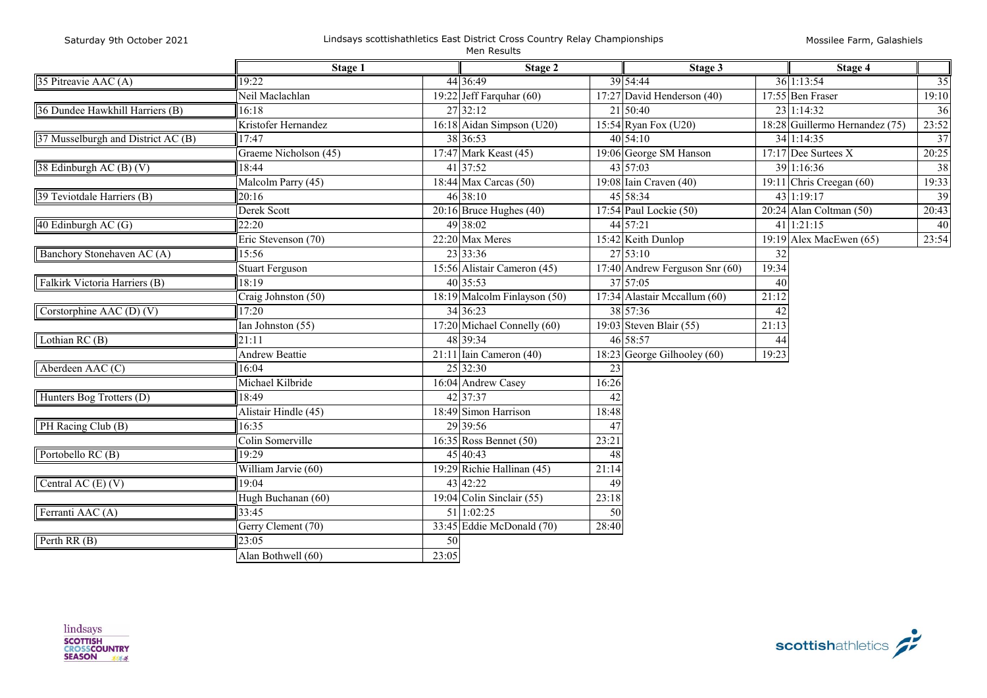Mossilee Farm, Galashiels

÷

|                                    | Stage 1                |       | Stage 2                      |       | Stage 3                          |       | Stage 4                        |                 |
|------------------------------------|------------------------|-------|------------------------------|-------|----------------------------------|-------|--------------------------------|-----------------|
| 35 Pitreavie AAC (A)               | 19:22                  |       | 44 36:49                     |       | 39 54:44                         |       | 36 1:13:54                     | $\overline{35}$ |
|                                    | Neil Maclachlan        |       | 19:22 Jeff Farquhar $(60)$   |       | 17:27 David Henderson (40)       |       | 17:55 Ben Fraser               | 19:10           |
| 36 Dundee Hawkhill Harriers (B)    | 16:18                  |       | 27 32:12                     |       | 21 50:40                         |       | 23 1:14:32                     | 36              |
|                                    | Kristofer Hernandez    |       | 16:18 Aidan Simpson (U20)    |       | 15:54 Ryan Fox (U20)             |       | 18:28 Guillermo Hernandez (75) | 23:52           |
| 37 Musselburgh and District AC (B) | 17:47                  |       | 38 36:53                     |       | $40\,54:10$                      |       | $34$ 1:14:35                   | 37              |
|                                    | Graeme Nicholson (45)  |       | 17:47 Mark Keast (45)        |       | 19:06 George SM Hanson           |       | 17:17 Dee Surtees X            | 20:25           |
| 38 Edinburgh AC (B) (V)            | 18:44                  |       | 41 37:52                     |       | 43 57:03                         |       | 39 1:16:36                     | 38              |
|                                    | Malcolm Parry (45)     |       | 18:44 Max Carcas $(50)$      |       | $19:08$ Iain Craven (40)         |       | 19:11 Chris Creegan $(60)$     | 19:33           |
| 39 Teviotdale Harriers (B)         | 20:16                  |       | $46\overline{38:10}$         |       | 45 58:34                         |       | 43 1:19:17                     | 39              |
|                                    | Derek Scott            |       | $20:16$ Bruce Hughes (40)    |       | 17:54 Paul Lockie (50)           |       | $20:24$ Alan Coltman (50)      | 20:43           |
| 40 Edinburgh AC (G)                | 22:20                  |       | 49 38:02                     |       | 44 57:21                         |       | $41 \, 1:21:15$                | 40              |
|                                    | Eric Stevenson (70)    |       | 22:20 Max Meres              |       | 15:42 Keith Dunlop               |       | 19:19 Alex MacEwen $(65)$      | 23:54           |
| Banchory Stonehaven AC (A)         | 15:56                  |       | 23 33:36                     |       | 27 53:10                         | 32    |                                |                 |
|                                    | <b>Stuart Ferguson</b> |       | 15:56 Alistair Cameron (45)  |       | $17:40$ Andrew Ferguson Snr (60) | 19:34 |                                |                 |
| Falkirk Victoria Harriers (B)      | 18:19                  |       | 40 35:53                     |       | 37 57:05                         | 40    |                                |                 |
|                                    | Craig Johnston (50)    |       | 18:19 Malcolm Finlayson (50) |       | 17:34 Alastair Mccallum (60)     | 21:12 |                                |                 |
| Corstorphine AAC (D) $(V)$         | 17:20                  |       | 34 36:23                     |       | 38 57:36                         | 42    |                                |                 |
|                                    | Ian Johnston (55)      |       | 17:20 Michael Connelly (60)  |       | 19:03 Steven Blair $(55)$        | 21:13 |                                |                 |
| Lothian RC (B)                     | 21:11                  |       | 48 39:34                     |       | 46 58:57                         | 44    |                                |                 |
|                                    | <b>Andrew Beattie</b>  |       | $21:11$ Iain Cameron (40)    |       | 18:23 George Gilhooley $(60)$    | 19:23 |                                |                 |
| Aberdeen AAC (C)                   | 16:04                  |       | 25 32:30                     | 23    |                                  |       |                                |                 |
|                                    | Michael Kilbride       |       | 16:04 Andrew Casey           | 16:26 |                                  |       |                                |                 |
| Hunters Bog Trotters (D)           | 18:49                  |       | 42 37:37                     | 42    |                                  |       |                                |                 |
|                                    | Alistair Hindle (45)   |       | 18:49 Simon Harrison         | 18:48 |                                  |       |                                |                 |
| PH Racing Club (B)                 | 16:35                  |       | 29 39:56                     | 47    |                                  |       |                                |                 |
|                                    | Colin Somerville       |       | $16:35$ Ross Bennet (50)     | 23:21 |                                  |       |                                |                 |
| Portobello RC (B)                  | 19:29                  |       | 45 40:43                     | 48    |                                  |       |                                |                 |
|                                    | William Jarvie (60)    |       | 19:29 Richie Hallinan (45)   | 21:14 |                                  |       |                                |                 |
| Central AC $(E)$ $(V)$             | 19:04                  |       | 43 42:22                     | 49    |                                  |       |                                |                 |
|                                    | Hugh Buchanan (60)     |       | 19:04 Colin Sinclair $(55)$  | 23:18 |                                  |       |                                |                 |
| Ferranti AAC (A)                   | 33:45                  |       | 51 1:02:25                   | 50    |                                  |       |                                |                 |
|                                    | Gerry Clement (70)     |       | 33:45 Eddie McDonald (70)    | 28:40 |                                  |       |                                |                 |
| Perth RR (B)                       | 23:05                  | 50    |                              |       |                                  |       |                                |                 |
|                                    | Alan Bothwell (60)     | 23:05 |                              |       |                                  |       |                                |                 |

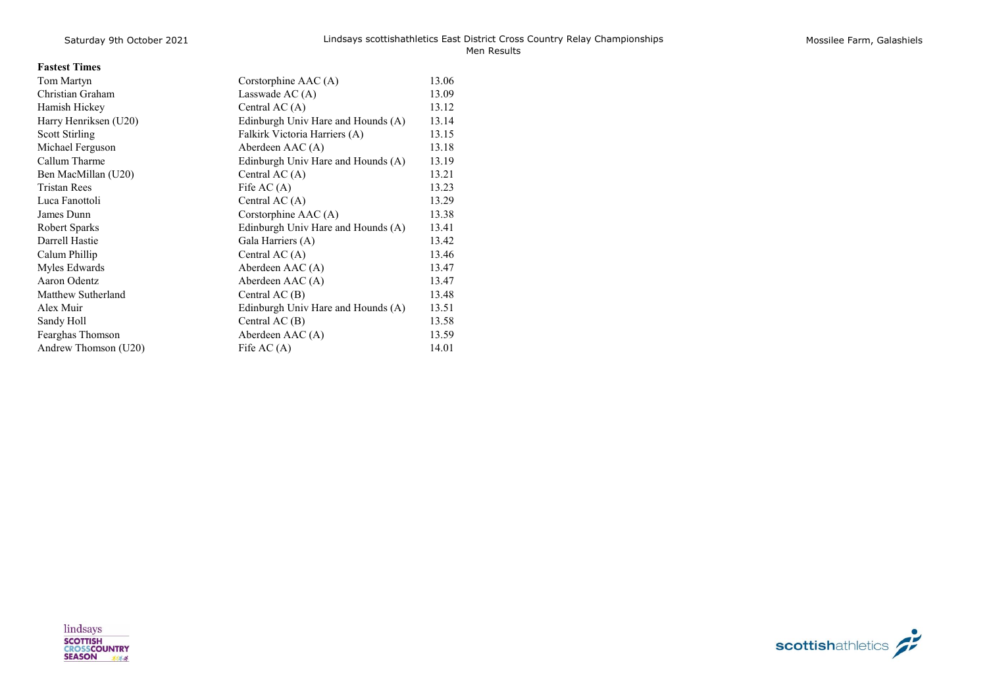|  | Mossilee Farm, Galashiels |
|--|---------------------------|
|  |                           |

| Tom Martyn            | Corstorphine AAC (A)               | 13.06 |
|-----------------------|------------------------------------|-------|
| Christian Graham      | Lasswade AC $(A)$                  | 13.09 |
| Hamish Hickey         | Central AC $(A)$                   | 13.12 |
| Harry Henriksen (U20) | Edinburgh Univ Hare and Hounds (A) | 13.14 |
| Scott Stirling        | Falkirk Victoria Harriers (A)      | 13.15 |
| Michael Ferguson      | Aberdeen AAC (A)                   | 13.18 |
| Callum Tharme         | Edinburgh Univ Hare and Hounds (A) | 13.19 |
| Ben MacMillan (U20)   | Central AC $(A)$                   | 13.21 |
| <b>Tristan Rees</b>   | Fife AC $(A)$                      | 13.23 |
| Luca Fanottoli        | Central AC $(A)$                   | 13.29 |
| James Dunn            | Corstorphine AAC (A)               | 13.38 |
| Robert Sparks         | Edinburgh Univ Hare and Hounds (A) | 13.41 |
| Darrell Hastie        | Gala Harriers (A)                  | 13.42 |
| Calum Phillip         | Central AC $(A)$                   | 13.46 |
| Myles Edwards         | Aberdeen AAC (A)                   | 13.47 |
| Aaron Odentz          | Aberdeen AAC (A)                   | 13.47 |
| Matthew Sutherland    | Central $AC(B)$                    | 13.48 |
| Alex Muir             | Edinburgh Univ Hare and Hounds (A) | 13.51 |
| Sandy Holl            | Central $AC(B)$                    | 13.58 |
| Fearghas Thomson      | Aberdeen AAC (A)                   | 13.59 |
| Andrew Thomson (U20)  | Fife $AC(A)$                       | 14.01 |

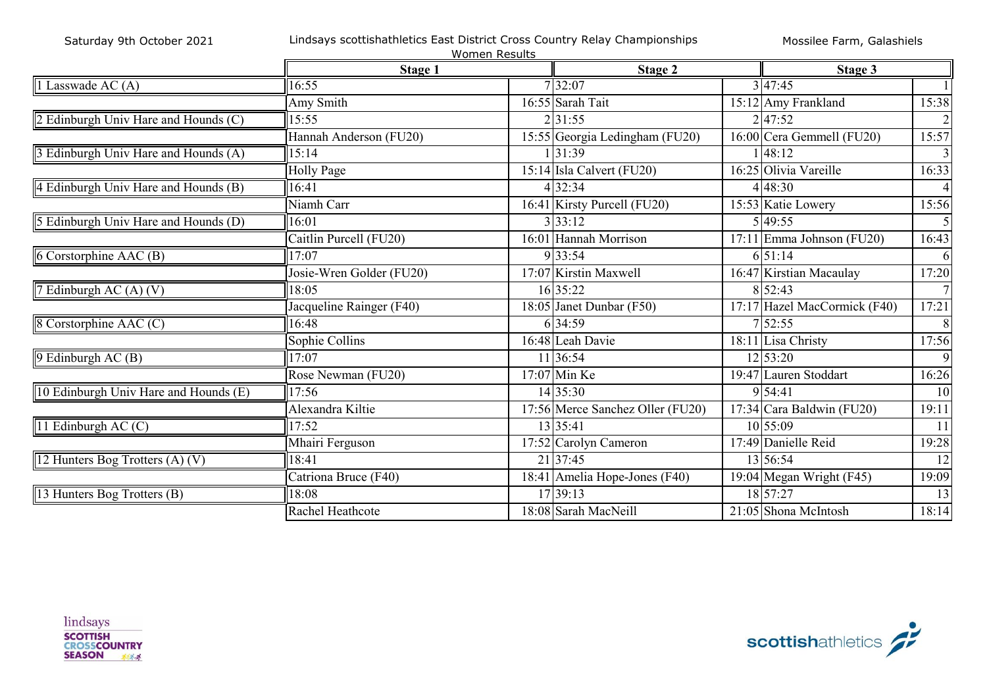|                                       |                          | Women Results |                                  |                              |                |
|---------------------------------------|--------------------------|---------------|----------------------------------|------------------------------|----------------|
|                                       | Stage 1                  |               | Stage 2                          | Stage 3                      |                |
| 1 Lasswade AC (A)                     | 16:55                    |               | 732:07                           | 3 47:45                      |                |
|                                       | Amy Smith                |               | 16:55 Sarah Tait                 | 15:12 Amy Frankland          | 15:38          |
| 2 Edinburgh Univ Hare and Hounds (C)  | 15:55                    |               | 2 31:55                          | 2 47:52                      | $\overline{2}$ |
|                                       | Hannah Anderson (FU20)   |               | 15:55 Georgia Ledingham (FU20)   | $16:00$ Cera Gemmell (FU20)  | 15:57          |
| 3 Edinburgh Univ Hare and Hounds (A)  | 15:14                    |               | 31:39                            | 148:12                       | 3              |
|                                       | Holly Page               |               | 15:14 Isla Calvert (FU20)        | 16:25 Olivia Vareille        | 16:33          |
| 4 Edinburgh Univ Hare and Hounds (B)  | 16:41                    |               | 4 32:34                          | 4 48:30                      | $\overline{4}$ |
|                                       | Niamh Carr               |               | 16:41 Kirsty Purcell (FU20)      | 15:53 Katie Lowery           | 15:56          |
| 5 Edinburgh Univ Hare and Hounds (D)  | 16:01                    |               | 3 33:12                          | 5 49:55                      |                |
|                                       | Caitlin Purcell (FU20)   |               | 16:01 Hannah Morrison            | $17:11$ Emma Johnson (FU20)  | 16:43          |
| 6 Corstorphine AAC (B)                | 17:07                    |               | 9 33:54                          | 6 51:14                      | 61             |
|                                       | Josie-Wren Golder (FU20) |               | 17:07 Kirstin Maxwell            | 16:47 Kirstian Macaulay      | 17:20          |
| 7 Edinburgh AC $(A)$ $(V)$            | 18:05                    |               | 16 35:22                         | 8 52:43                      | 7 <sup>1</sup> |
|                                       | Jacqueline Rainger (F40) |               | 18:05 Janet Dunbar (F50)         | 17:17 Hazel MacCormick (F40) | 17:21          |
| 8 Corstorphine AAC (C)                | 16:48                    |               | 6 34:59                          | 7 52:55                      | 8              |
|                                       | Sophie Collins           |               | 16:48 Leah Davie                 | 18:11 Lisa Christy           | 17:56          |
| 9 Edinburgh AC (B)                    | 17:07                    |               | 11 36:54                         | $12\,53:20$                  | 9              |
|                                       | Rose Newman (FU20)       |               | $17:07$ Min Ke                   | 19:47 Lauren Stoddart        | 16:26          |
| 10 Edinburgh Univ Hare and Hounds (E) | 17:56                    |               | 14 35:30                         | 9 54:41                      | 10             |
|                                       | Alexandra Kiltie         |               | 17:56 Merce Sanchez Oller (FU20) | 17:34 Cara Baldwin (FU20)    | 19:11          |
| 11 Edinburgh AC $(C)$                 | 17:52                    |               | 13 35:41                         | 10 55:09                     | <sup>11</sup>  |
|                                       | Mhairi Ferguson          |               | 17:52 Carolyn Cameron            | 17:49 Danielle Reid          | 19:28          |
| 12 Hunters Bog Trotters (A) (V)       | 18:41                    |               | 21 37:45                         | 13 56:54                     | 12             |
|                                       | Catriona Bruce (F40)     |               | 18:41 Amelia Hope-Jones (F40)    | 19:04 Megan Wright (F45)     | 19:09          |
| 13 Hunters Bog Trotters (B)           | 18:08                    |               | 17 39:13                         | 18 57:27                     | 13             |
|                                       | Rachel Heathcote         |               | 18:08 Sarah MacNeill             | 21:05 Shona McIntosh         | 18:14          |

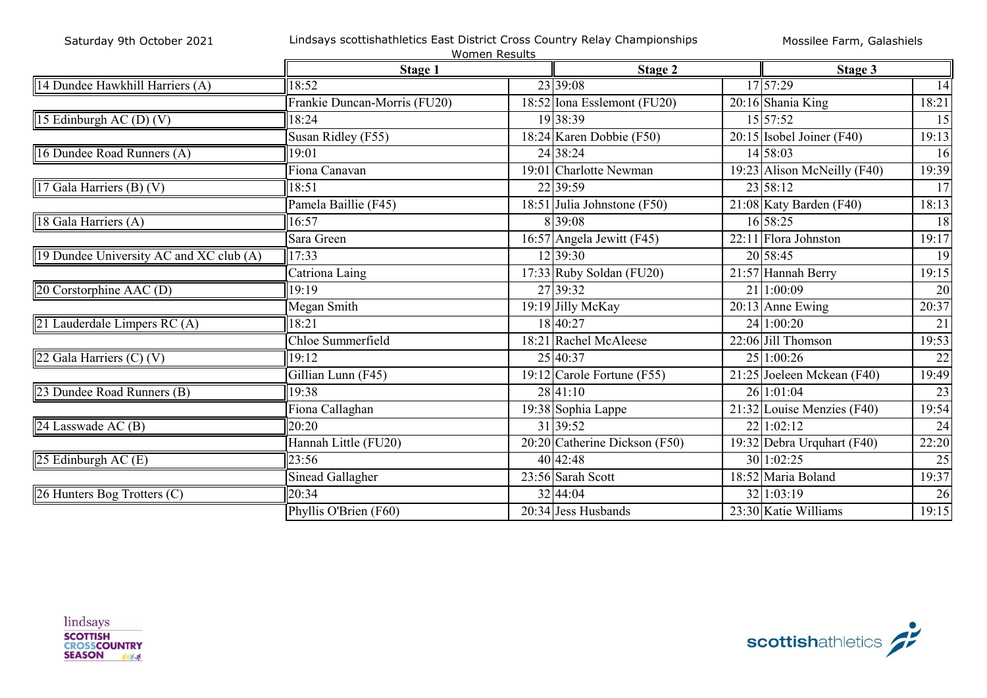|  |  | Saturday 9th October 2021 |  |
|--|--|---------------------------|--|
|--|--|---------------------------|--|

#### Lindsays scottishathletics East District Cross Country Relay Championships

|                                         |                              | Women Results |                                 |  |                              |                 |
|-----------------------------------------|------------------------------|---------------|---------------------------------|--|------------------------------|-----------------|
|                                         | Stage 1                      |               | Stage 2                         |  | Stage 3                      |                 |
| 14 Dundee Hawkhill Harriers (A)         | 18:52                        |               | 23 39:08                        |  | 17 57:29                     | $\overline{14}$ |
|                                         | Frankie Duncan-Morris (FU20) |               | 18:52 Iona Esslemont ( $FU20$ ) |  | 20:16 Shania King            | 18:21           |
| 15 Edinburgh AC (D) (V)                 | 18:24                        |               | 19 38:39                        |  | 15 57:52                     | 15              |
|                                         | Susan Ridley (F55)           |               | 18:24 Karen Dobbie (F50)        |  | $20:15$ Isobel Joiner (F40)  | 19:13           |
| 16 Dundee Road Runners (A)              | 19:01                        |               | 24 38:24                        |  | 14 58:03                     | 16              |
|                                         | Fiona Canavan                |               | 19:01 Charlotte Newman          |  | 19:23 Alison McNeilly (F40)  | 19:39           |
| 17 Gala Harriers (B) (V)                | 18:51                        |               | 22 39:59                        |  | 23 58:12                     | 17              |
|                                         | Pamela Baillie (F45)         |               | 18:51 Julia Johnstone $(F50)$   |  | 21:08 Katy Barden (F40)      | 18:13           |
| 18 Gala Harriers (A)                    | 16:57                        |               | 8 39:08                         |  | 16 58:25                     | 18              |
|                                         | Sara Green                   |               | 16:57 Angela Jewitt (F45)       |  | $22:11$ Flora Johnston       | 19:17           |
| 19 Dundee University AC and XC club (A) | 17:33                        |               | 12 39:30                        |  | 20 58:45                     | 19              |
|                                         | Catriona Laing               |               | 17:33 Ruby Soldan (FU20)        |  | 21:57 Hannah Berry           | 19:15           |
| 20 Corstorphine AAC (D)                 | 19:19                        |               | 27 39:32                        |  | 21 1:00:09                   | 20              |
|                                         | Megan Smith                  |               | $\overline{19:}19$ Jilly McKay  |  | $20:13$ Anne Ewing           | 20:37           |
| 21 Lauderdale Limpers RC (A)            | 18:21                        |               | 18 40:27                        |  | 24 1:00:20                   | $\overline{21}$ |
|                                         | Chloe Summerfield            |               | 18:21 Rachel McAleese           |  | 22:06 Jill Thomson           | 19:53           |
| 22 Gala Harriers $(C)$ $(V)$            | 19:12                        |               | 25 40:37                        |  | 25 1:00:26                   | 22              |
|                                         | Gillian Lunn (F45)           |               | 19:12 Carole Fortune (F55)      |  | 21:25 Joeleen Mckean (F40)   | 19:49           |
| 23 Dundee Road Runners (B)              | 19:38                        |               | 28 41:10                        |  | 26 1:01:04                   | 23              |
|                                         | Fiona Callaghan              |               | 19:38 Sophia Lappe              |  | $21:32$ Louise Menzies (F40) | 19:54           |
| 24 Lasswade AC (B)                      | 20:20                        |               | 31 39:52                        |  | 22 1:02:12                   | 24              |
|                                         | Hannah Little (FU20)         |               | 20:20 Catherine Dickson (F50)   |  | 19:32 Debra Urquhart (F40)   | 22:20           |
| 25 Edinburgh AC (E)                     | 23:56                        |               | 40 42:48                        |  | 30 1:02:25                   | 25              |
|                                         | Sinead Gallagher             |               | 23:56 Sarah Scott               |  | 18:52 Maria Boland           | 19:37           |
| 26 Hunters Bog Trotters (C)             | 20:34                        |               | 32 44:04                        |  | 32 1:03:19                   | 26              |
|                                         | Phyllis O'Brien (F60)        |               | 20:34 Jess Husbands             |  | 23:30 Katie Williams         | 19:15           |



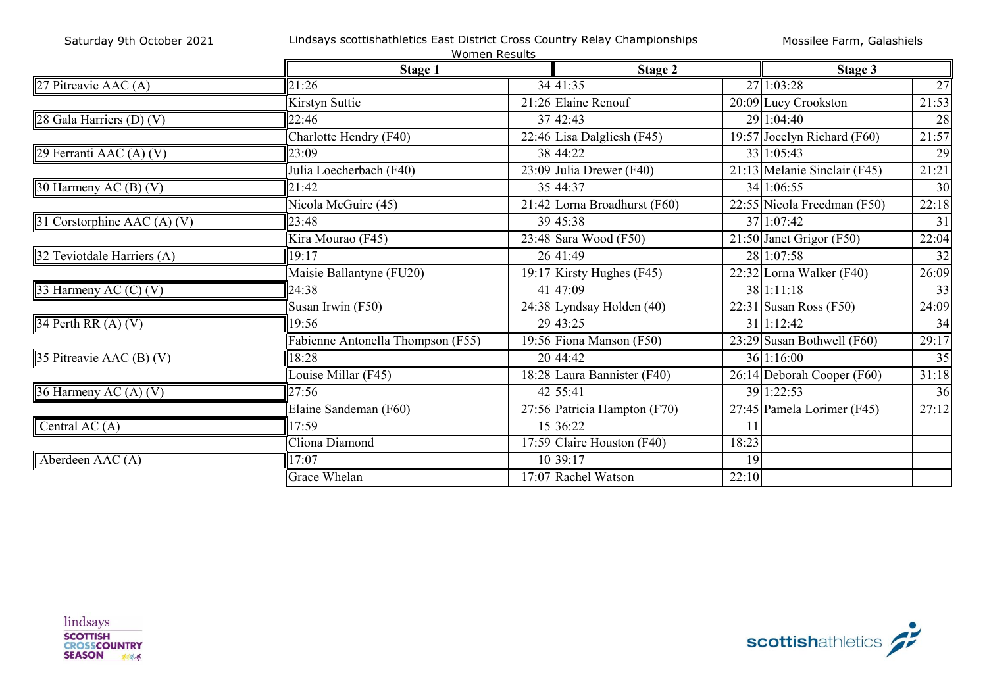| Saturday 9th October 2021   | Lindsays scottishathletics East District Cross Country Relay Championships<br>Mossilee Farm, Galashiels<br><b>Women Results</b> |                                |       |                                          |       |  |  |  |
|-----------------------------|---------------------------------------------------------------------------------------------------------------------------------|--------------------------------|-------|------------------------------------------|-------|--|--|--|
|                             | Stage 1                                                                                                                         | Stage 2                        |       | Stage 3                                  |       |  |  |  |
| 27 Pitreavie AAC (A)        | 21:26                                                                                                                           | 34 41:35                       |       | 27 1:03:28                               | 27    |  |  |  |
|                             | Kirstyn Suttie                                                                                                                  | 21:26 Elaine Renouf            |       | 20:09 Lucy Crookston                     | 21:53 |  |  |  |
| 28 Gala Harriers (D) (V)    | 22:46                                                                                                                           | 37 42:43                       |       | 29 1:04:40                               | 28    |  |  |  |
|                             | Charlotte Hendry (F40)                                                                                                          | 22:46 Lisa Dalgliesh (F45)     |       | 19:57 Jocelyn Richard (F60)              | 21:57 |  |  |  |
| 29 Ferranti AAC (A) (V)     | 23:09                                                                                                                           | 38 44:22                       |       | 33 1:05:43                               | 29    |  |  |  |
|                             | Julia Loecherbach (F40)                                                                                                         | $23:09$ Julia Drewer (F40)     |       | 21:13 Melanie Sinclair (F45)             | 21:21 |  |  |  |
| 30 Harmeny AC (B) (V)       | 21:42                                                                                                                           | 35 44:37                       |       | 34 1:06:55                               | 30    |  |  |  |
|                             | Nicola McGuire (45)                                                                                                             | $21:42$ Lorna Broadhurst (F60) |       | $\overline{22:55}$ Nicola Freedman (F50) | 22:18 |  |  |  |
| 31 Corstorphine AAC (A) (V) | 23:48                                                                                                                           | 39 45:38                       |       | 37 1:07:42                               | 31    |  |  |  |
|                             | Kira Mourao (F45)                                                                                                               | $23:48$ Sara Wood (F50)        |       | $21:50$ Janet Grigor (F50)               | 22:04 |  |  |  |
| 32 Teviotdale Harriers (A)  | 19:17                                                                                                                           | 26 41:49                       |       | 28 1:07:58                               | 32    |  |  |  |
|                             | Maisie Ballantyne (FU20)                                                                                                        | 19:17 Kirsty Hughes (F45)      |       | $22:32$ Lorna Walker (F40)               | 26:09 |  |  |  |
| 33 Harmeny AC (C) (V)       | 24:38                                                                                                                           | 41 47:09                       |       | 38 1:11:18                               | 33    |  |  |  |
|                             | Susan Irwin $(F50)$                                                                                                             | $24:38$ Lyndsay Holden (40)    |       | $22:31$ Susan Ross (F50)                 | 24:09 |  |  |  |
| 34 Perth RR (A) (V)         | 19:56                                                                                                                           | 29 43:25                       |       | 31 1:12:42                               | 34    |  |  |  |
|                             | Fabienne Antonella Thompson (F55)                                                                                               | 19:56 Fiona Manson (F50)       |       | $23:29$ Susan Bothwell (F60)             | 29:17 |  |  |  |
| 35 Pitreavie AAC $(B)$ (V)  | 18:28                                                                                                                           | 20 44:42                       |       | $36$ 1:16:00                             | 35    |  |  |  |
|                             | Louise Millar (F45)                                                                                                             | 18:28 Laura Bannister (F40)    |       | 26:14 Deborah Cooper (F60)               | 31:18 |  |  |  |
| 36 Harmeny AC (A) (V)       | 27:56                                                                                                                           | 42 55:41                       |       | 39 1:22:53                               | 36    |  |  |  |
|                             | Elaine Sandeman (F60)                                                                                                           | 27:56 Patricia Hampton (F70)   |       | 27:45 Pamela Lorimer (F45)               | 27:12 |  |  |  |
| Central AC (A)              | 17:59                                                                                                                           | 15 36:22                       | 11    |                                          |       |  |  |  |
|                             | Cliona Diamond                                                                                                                  | 17:59 Claire Houston $(F40)$   | 18:23 |                                          |       |  |  |  |
| Aberdeen AAC (A)            | 17:07                                                                                                                           | 10 39:17                       | 19    |                                          |       |  |  |  |
|                             | Grace Whelan                                                                                                                    | 17:07 Rachel Watson            | 22:10 |                                          |       |  |  |  |

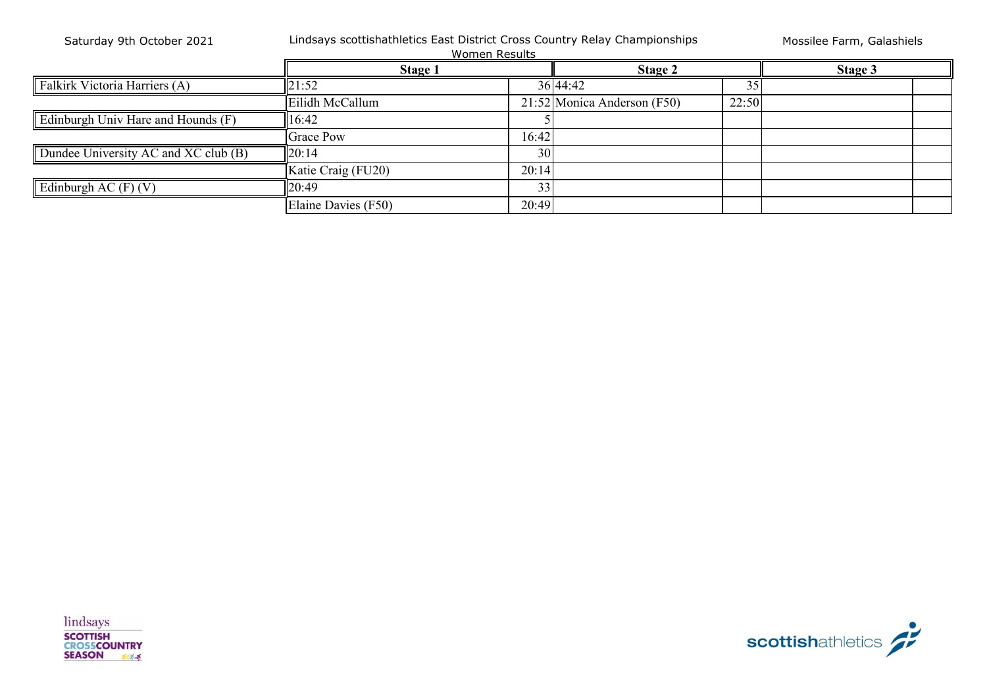| Saturday 9th October 2021            | Lindsays scottishathletics East District Cross Country Relay Championships<br><b>Women Results</b> | Mossilee Farm, Galashiels |                             |       |         |  |
|--------------------------------------|----------------------------------------------------------------------------------------------------|---------------------------|-----------------------------|-------|---------|--|
|                                      | <b>Stage 1</b>                                                                                     |                           | Stage 2                     |       | Stage 3 |  |
| Falkirk Victoria Harriers (A)        | 21:52                                                                                              |                           | 36 44:42                    |       |         |  |
|                                      | Eilidh McCallum                                                                                    |                           | 21:52 Monica Anderson (F50) | 22:50 |         |  |
| Edinburgh Univ Hare and Hounds (F)   | 6:42                                                                                               |                           |                             |       |         |  |
|                                      | <b>Grace Pow</b>                                                                                   | 16:42                     |                             |       |         |  |
| Dundee University AC and XC club (B) | 20:14                                                                                              | 30                        |                             |       |         |  |
|                                      | Katie Craig (FU20)                                                                                 | 20:14                     |                             |       |         |  |
| Edinburgh AC $(F)$ $(V)$             | 20:49                                                                                              | 33                        |                             |       |         |  |
|                                      | Elaine Davies (F50)                                                                                | 20:49                     |                             |       |         |  |

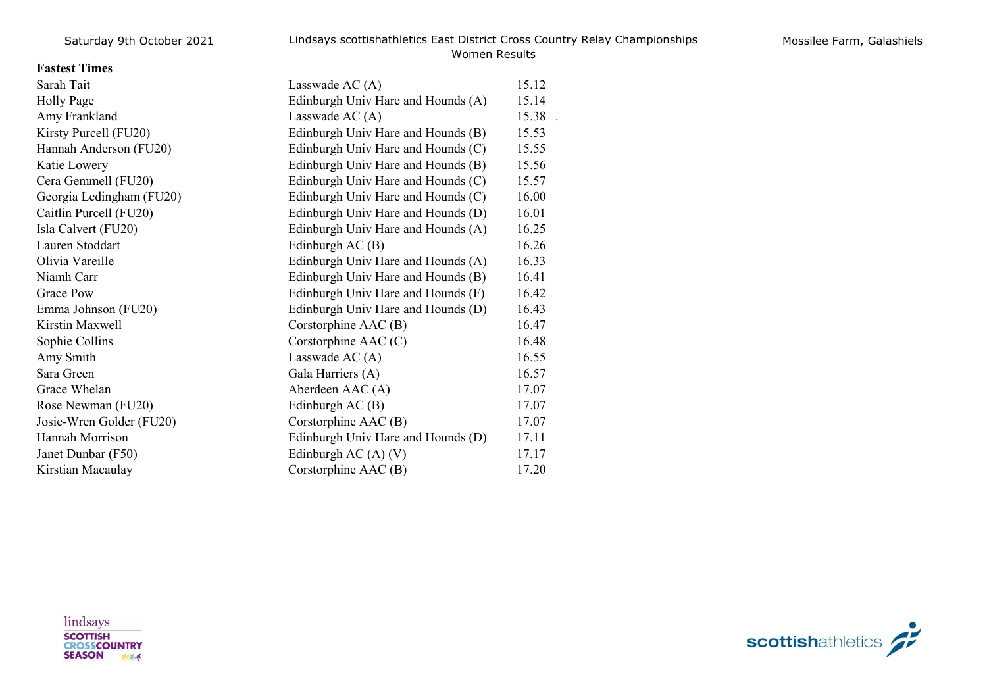## **Fastest Times**

| Sarah Tait               | Lasswade AC $(A)$                  | 15.12 |
|--------------------------|------------------------------------|-------|
| Holly Page               | Edinburgh Univ Hare and Hounds (A) | 15.14 |
| Amy Frankland            | Lasswade AC $(A)$                  | 15.38 |
| Kirsty Purcell (FU20)    | Edinburgh Univ Hare and Hounds (B) | 15.53 |
| Hannah Anderson (FU20)   | Edinburgh Univ Hare and Hounds (C) | 15.55 |
| Katie Lowery             | Edinburgh Univ Hare and Hounds (B) | 15.56 |
| Cera Gemmell (FU20)      | Edinburgh Univ Hare and Hounds (C) | 15.57 |
| Georgia Ledingham (FU20) | Edinburgh Univ Hare and Hounds (C) | 16.00 |
| Caitlin Purcell (FU20)   | Edinburgh Univ Hare and Hounds (D) | 16.01 |
| Isla Calvert (FU20)      | Edinburgh Univ Hare and Hounds (A) | 16.25 |
| Lauren Stoddart          | Edinburgh AC (B)                   | 16.26 |
| Olivia Vareille          | Edinburgh Univ Hare and Hounds (A) | 16.33 |
| Niamh Carr               | Edinburgh Univ Hare and Hounds (B) | 16.41 |
| <b>Grace Pow</b>         | Edinburgh Univ Hare and Hounds (F) | 16.42 |
| Emma Johnson (FU20)      | Edinburgh Univ Hare and Hounds (D) | 16.43 |
| Kirstin Maxwell          | Corstorphine AAC (B)               | 16.47 |
| Sophie Collins           | Corstorphine AAC (C)               | 16.48 |
| Amy Smith                | Lasswade AC $(A)$                  | 16.55 |
| Sara Green               | Gala Harriers (A)                  | 16.57 |
| Grace Whelan             | Aberdeen AAC (A)                   | 17.07 |
| Rose Newman (FU20)       | Edinburgh $AC(B)$                  | 17.07 |
| Josie-Wren Golder (FU20) | Corstorphine AAC (B)               | 17.07 |
| Hannah Morrison          | Edinburgh Univ Hare and Hounds (D) | 17.11 |
| Janet Dunbar (F50)       | Edinburgh AC $(A)$ $(V)$           | 17.17 |
| Kirstian Macaulay        | Corstorphine AAC (B)               | 17.20 |

lindsays **SCOTTISH<br>CROSSCOUNTRY<br>SEASON** 

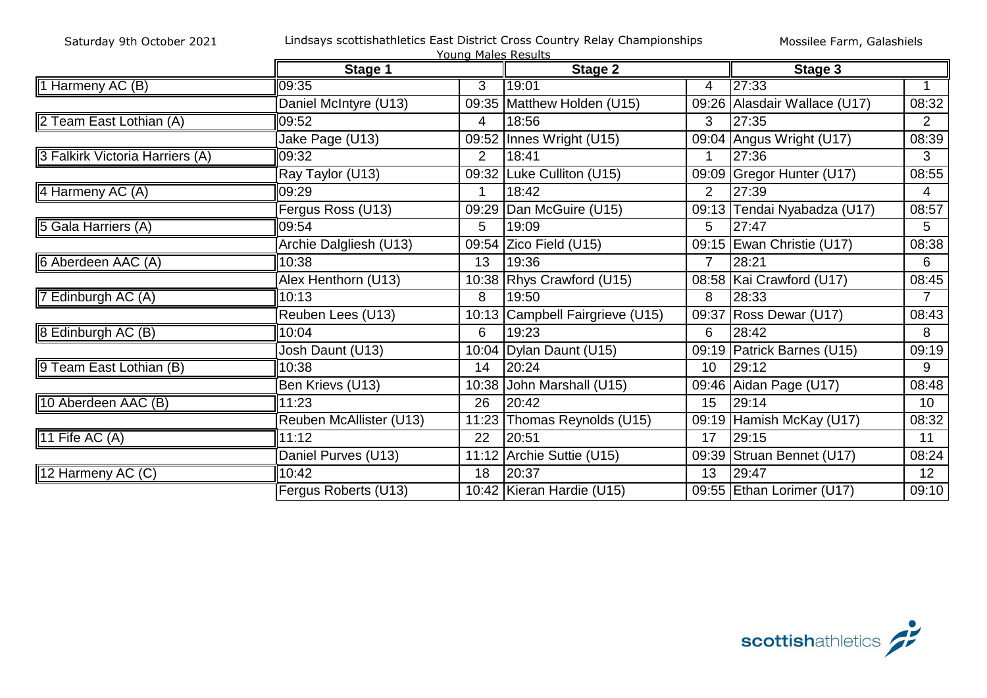|                                 |                         | Young Males Results |                                 |                |                              |                 |
|---------------------------------|-------------------------|---------------------|---------------------------------|----------------|------------------------------|-----------------|
|                                 | Stage 1                 |                     | Stage 2                         |                | Stage 3                      |                 |
| 1 Harmeny AC (B)                | 09:35                   | 3                   | 19:01                           | 4              | 27:33                        |                 |
|                                 | Daniel McIntyre (U13)   |                     | 09:35 Matthew Holden (U15)      |                | 09:26 Alasdair Wallace (U17) | 08:32           |
| 2 Team East Lothian (A)         | 09:52                   | 4                   | 18:56                           | 3              | 27:35                        | $\overline{2}$  |
|                                 | Jake Page (U13)         | 09:52               | Innes Wright (U15)              | 09:04          | Angus Wright (U17)           | 08:39           |
| 3 Falkirk Victoria Harriers (A) | 09:32                   | $\overline{2}$      | 18:41                           |                | 27:36                        | 3               |
|                                 | Ray Taylor (U13)        | 09:32               | Luke Culliton (U15)             | 09:09          | Gregor Hunter (U17)          | 08:55           |
| 4 Harmeny AC (A)                | 09:29                   |                     | 18:42                           | $\overline{2}$ | 27:39                        | $\overline{4}$  |
|                                 | Fergus Ross (U13)       | 09:29               | Dan McGuire (U15)               |                | 09:13 Tendai Nyabadza (U17)  | 08:57           |
| 5 Gala Harriers (A)             | 09:54                   | 5                   | 19:09                           | 5              | 27:47                        | 5               |
|                                 | Archie Dalgliesh (U13)  | 09:54               | Zico Field (U15)                | 09:15          | Ewan Christie (U17)          | 08:38           |
| 6 Aberdeen AAC (A)              | 10:38                   | 13                  | 19:36                           | $\overline{7}$ | 28:21                        | 6               |
|                                 | Alex Henthorn (U13)     |                     | 10:38 Rhys Crawford (U15)       |                | 08:58   Kai Crawford (U17)   | 08:45           |
| 7 Edinburgh AC (A)              | 10:13                   | 8                   | 19:50                           | 8              | 28:33                        |                 |
|                                 | Reuben Lees (U13)       |                     | 10:13 Campbell Fairgrieve (U15) | 09:37          | Ross Dewar (U17)             | 08:43           |
| 8 Edinburgh AC (B)              | 10:04                   | 6                   | 19:23                           | 6              | 28:42                        | 8               |
|                                 | Josh Daunt (U13)        |                     | 10:04   Dylan Daunt (U15)       | 09:19          | Patrick Barnes (U15)         | 09:19           |
| 9 Team East Lothian (B)         | 10:38                   | 14                  | 20:24                           | 10             | 29:12                        | 9               |
|                                 | Ben Krievs (U13)        | 10:38               | John Marshall (U15)             |                | 09:46 Aidan Page (U17)       | 08:48           |
| 10 Aberdeen AAC (B)             | 11:23                   | 26                  | 20:42                           | 15             | 29:14                        | 10 <sup>°</sup> |
|                                 | Reuben McAllister (U13) | 11:23               | Thomas Reynolds (U15)           | 09:19          | Hamish McKay (U17)           | 08:32           |
| 11 Fife AC (A)                  | 11:12                   | 22                  | 20:51                           | 17             | 29:15                        | 11              |
|                                 | Daniel Purves (U13)     | 11:12               | Archie Suttie (U15)             | 09:39          | Struan Bennet (U17)          | 08:24           |
| 12 Harmeny AC (C)               | 10:42                   | 18                  | 20:37                           | 13             | 29:47                        | 12 <sup>°</sup> |
|                                 | Fergus Roberts (U13)    |                     | 10:42 Kieran Hardie (U15)       |                | 09:55 Ethan Lorimer (U17)    | 09:10           |

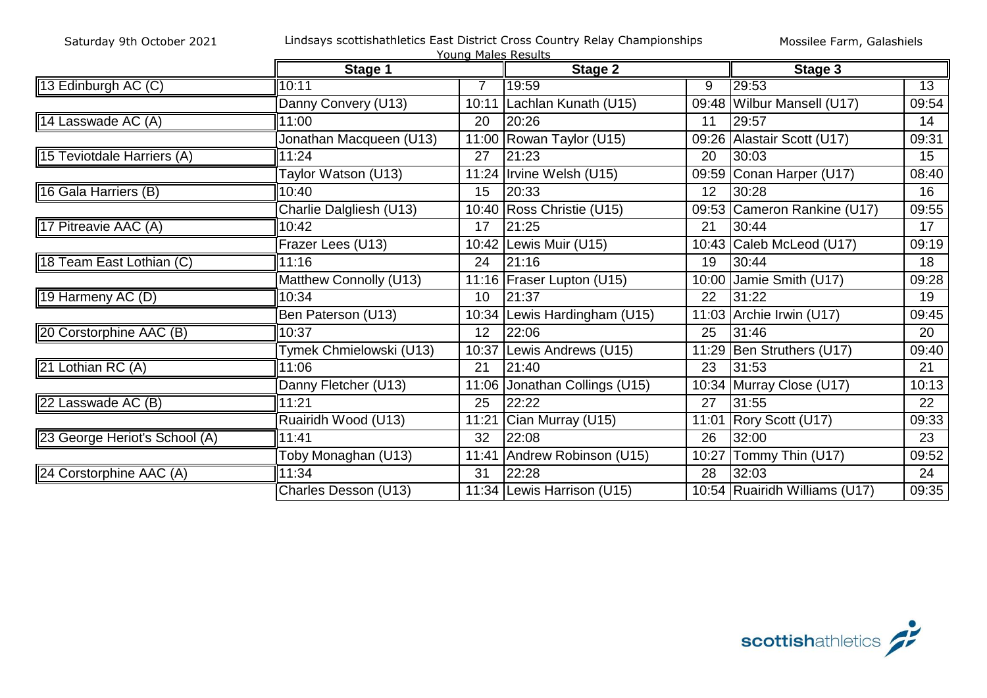|                               | Young Males Results     |                |                              |       |                               |                 |  |
|-------------------------------|-------------------------|----------------|------------------------------|-------|-------------------------------|-----------------|--|
|                               | Stage 1                 |                | Stage 2                      |       | Stage 3                       |                 |  |
| 13 Edinburgh AC (C)           | 10:11                   | $\overline{7}$ | 19:59                        | 9     | 29:53                         | $\overline{13}$ |  |
|                               | Danny Convery (U13)     | 10:11          | Lachlan Kunath (U15)         |       | 09:48 Wilbur Mansell (U17)    | 09:54           |  |
| 14 Lasswade AC (A)            | 11:00                   | 20             | 20:26                        | 11    | 29:57                         | 14              |  |
|                               | Jonathan Macqueen (U13) |                | 11:00 Rowan Taylor (U15)     |       | 09:26 Alastair Scott (U17)    | 09:31           |  |
| 15 Teviotdale Harriers (A)    | 11:24                   | 27             | 21:23                        | 20    | 30:03                         | 15              |  |
|                               | Taylor Watson (U13)     |                | 11:24 Irvine Welsh (U15)     | 09:59 | Conan Harper (U17)            | 08:40           |  |
| 16 Gala Harriers (B)          | 10:40                   | 15             | 20:33                        | 12    | 30:28                         | 16              |  |
|                               | Charlie Dalgliesh (U13) |                | 10:40 Ross Christie (U15)    |       | 09:53 Cameron Rankine (U17)   | 09:55           |  |
| 17 Pitreavie AAC (A)          | 10:42                   | 17             | 21:25                        | 21    | 30:44                         | 17              |  |
|                               | Frazer Lees (U13)       | 10:42          | Lewis Muir (U15)             |       | 10:43 Caleb McLeod (U17)      | 09:19           |  |
| 18 Team East Lothian (C)      | 11:16                   | 24             | 21:16                        | 19    | 30:44                         | 18              |  |
|                               | Matthew Connolly (U13)  |                | 11:16   Fraser Lupton (U15)  | 10:00 | Jamie Smith (U17)             | 09:28           |  |
| 19 Harmeny AC (D)             | 10:34                   | 10             | 21:37                        | 22    | 31:22                         | 19              |  |
|                               | Ben Paterson (U13)      |                | 10:34 Lewis Hardingham (U15) |       | 11:03 Archie Irwin (U17)      | 09:45           |  |
| 20 Corstorphine AAC (B)       | 10:37                   | 12             | 22:06                        | 25    | 31:46                         | 20              |  |
|                               | Tymek Chmielowski (U13) | 10:37          | Lewis Andrews (U15)          | 11:29 | Ben Struthers (U17)           | 09:40           |  |
| 21 Lothian RC (A)             | 11:06                   | 21             | 21:40                        | 23    | 31:53                         | 21              |  |
|                               | Danny Fletcher (U13)    | 11:06          | Jonathan Collings (U15)      |       | 10:34 Murray Close (U17)      | 10:13           |  |
| 22 Lasswade AC (B)            | 11:21                   | 25             | 22:22                        | 27    | 31:55                         | 22              |  |
|                               | Ruairidh Wood (U13)     | 11:21          | Cian Murray (U15)            | 11:01 | Rory Scott (U17)              | 09:33           |  |
| 23 George Heriot's School (A) | 11:41                   | 32             | 22:08                        | 26    | 32:00                         | 23              |  |
|                               | Toby Monaghan (U13)     | 11:41          | Andrew Robinson (U15)        | 10:27 | Tommy Thin (U17)              | 09:52           |  |
| 24 Corstorphine AAC (A)       | 11:34                   | 31             | 22:28                        | 28    | 32:03                         | 24              |  |
|                               | Charles Desson (U13)    |                | 11:34 Lewis Harrison (U15)   |       | 10:54 Ruairidh Williams (U17) | 09:35           |  |

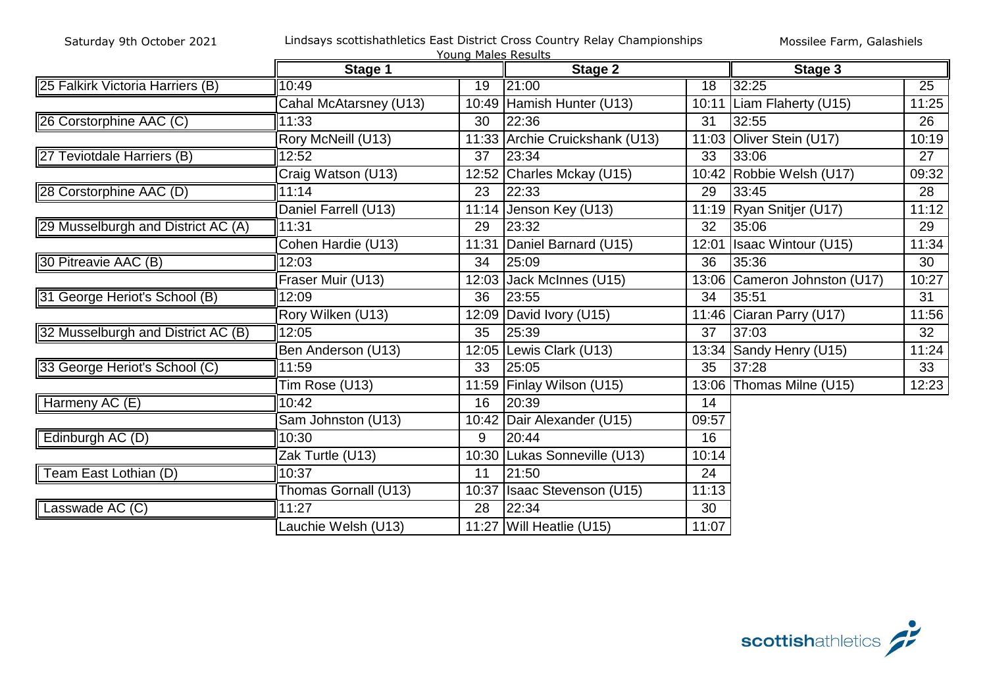|                                    |                        | Young Males Results |                                |                 |                              |       |
|------------------------------------|------------------------|---------------------|--------------------------------|-----------------|------------------------------|-------|
|                                    | Stage 1                |                     | <b>Stage 2</b>                 |                 | Stage 3                      |       |
| 25 Falkirk Victoria Harriers (B)   | 10:49                  | $\overline{19}$     | 21:00                          | $\overline{18}$ | 32:25                        | 25    |
|                                    | Cahal McAtarsney (U13) |                     | 10:49 Hamish Hunter (U13)      | 10:11           | Liam Flaherty (U15)          | 11:25 |
| 26 Corstorphine AAC (C)            | 11:33                  | 30                  | 22:36                          | 31              | 32:55                        | 26    |
|                                    | Rory McNeill (U13)     |                     | 11:33 Archie Cruickshank (U13) | 11:03           | Oliver Stein (U17)           | 10:19 |
| 27 Teviotdale Harriers (B)         | 12:52                  | 37                  | 23:34                          | 33              | 33:06                        | 27    |
|                                    | Craig Watson (U13)     | 12:52               | Charles Mckay (U15)            | 10:42           | Robbie Welsh (U17)           | 09:32 |
| 28 Corstorphine AAC (D)            | 11:14                  | 23                  | 22:33                          | 29              | 33:45                        | 28    |
|                                    | Daniel Farrell (U13)   | 11:14               | Jenson Key (U13)               |                 | 11:19 Ryan Snitjer (U17)     | 11:12 |
| 29 Musselburgh and District AC (A) | 11:31                  | 29                  | 23:32                          | 32              | 35:06                        | 29    |
|                                    | Cohen Hardie (U13)     | 11:31               | Daniel Barnard (U15)           | 12:01           | <b>Isaac Wintour (U15)</b>   | 11:34 |
| 30 Pitreavie AAC (B)               | 12:03                  | 34                  | 25:09                          | 36              | 35:36                        | 30    |
|                                    | Fraser Muir (U13)      | 12:03               | Jack McInnes (U15)             |                 | 13:06 Cameron Johnston (U17) | 10:27 |
| 31 George Heriot's School (B)      | 12:09                  | 36                  | 23:55                          | 34              | 35:51                        | 31    |
|                                    | Rory Wilken (U13)      | 12:09               | David Ivory (U15)              |                 | 11:46 Ciaran Parry (U17)     | 11:56 |
| 32 Musselburgh and District AC (B) | 12:05                  | 35                  | 25:39                          | 37              | 37:03                        | 32    |
|                                    | Ben Anderson (U13)     | 12:05               | Lewis Clark (U13)              | 13:34           | Sandy Henry (U15)            | 11:24 |
| 33 George Heriot's School (C)      | 11:59                  | 33                  | 25:05                          | 35              | 37:28                        | 33    |
|                                    | Tim Rose (U13)         | 11:59               | Finlay Wilson (U15)            | 13:06           | Thomas Milne (U15)           | 12:23 |
| Harmeny AC (E)                     | 10:42                  | 16                  | 20:39                          | 14              |                              |       |
|                                    | Sam Johnston (U13)     | 10:42               | Dair Alexander (U15)           | 09:57           |                              |       |
| Edinburgh AC (D)                   | 10:30                  | 9                   | 20:44                          | 16              |                              |       |
|                                    | Zak Turtle (U13)       | 10:30               | Lukas Sonneville (U13)         | 10:14           |                              |       |
| Team East Lothian (D)              | 10:37                  | 11                  | 21:50                          | 24              |                              |       |
|                                    | Thomas Gornall (U13)   | 10:37               | <b>Isaac Stevenson (U15)</b>   | 11:13           |                              |       |
| Lasswade AC (C)                    | 11:27                  | 28                  | 22:34                          | 30              |                              |       |
|                                    | Lauchie Welsh (U13)    |                     | 11:27 Will Heatlie (U15)       | 11:07           |                              |       |

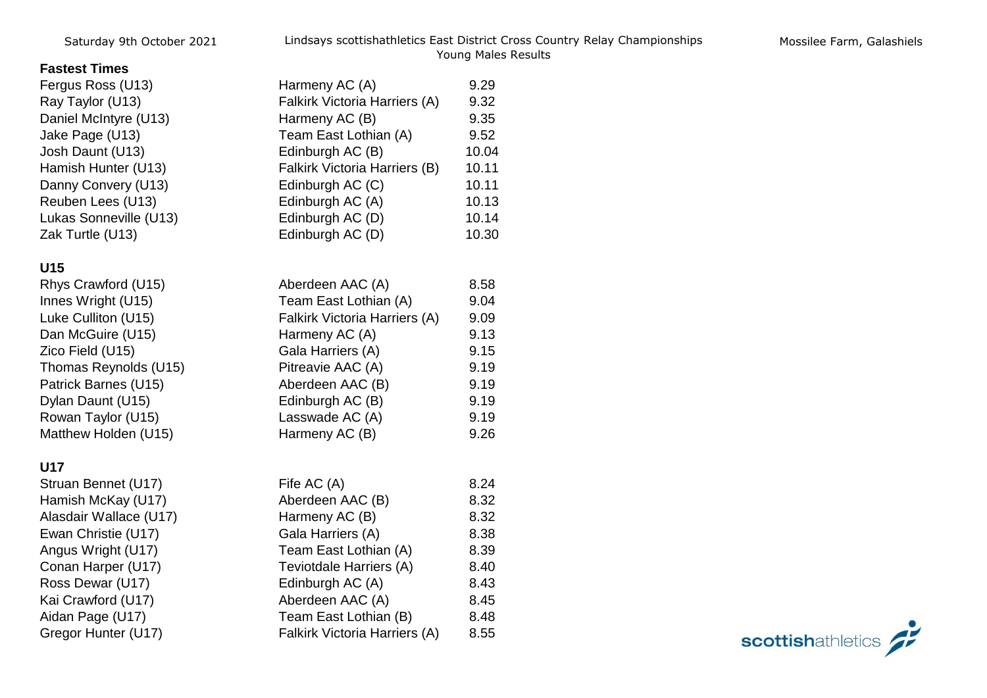## **Fastest Times**

| Fergus Ross (U13)      | Harmeny AC (A)                       | 9.29  |
|------------------------|--------------------------------------|-------|
| Ray Taylor (U13)       | Falkirk Victoria Harriers (A)        | 9.32  |
| Daniel McIntyre (U13)  | Harmeny AC (B)                       | 9.35  |
| Jake Page (U13)        | Team East Lothian (A)                | 9.52  |
| Josh Daunt (U13)       | Edinburgh AC (B)                     | 10.04 |
| Hamish Hunter (U13)    | <b>Falkirk Victoria Harriers (B)</b> | 10.11 |
| Danny Convery (U13)    | Edinburgh AC (C)                     | 10.11 |
| Reuben Lees (U13)      | Edinburgh AC (A)                     | 10.13 |
| Lukas Sonneville (U13) | Edinburgh AC (D)                     | 10.14 |
| Zak Turtle (U13)       | Edinburgh AC (D)                     | 10.30 |
|                        |                                      |       |

# **U15**

| Kilys Grawiold (UT3)  | ADBIGGELIAAU (A)              | o.oo |
|-----------------------|-------------------------------|------|
| Innes Wright (U15)    | Team East Lothian (A)         | 9.04 |
| Luke Culliton (U15)   | Falkirk Victoria Harriers (A) | 9.09 |
| Dan McGuire (U15)     | Harmeny AC (A)                | 9.13 |
| Zico Field (U15)      | Gala Harriers (A)             | 9.15 |
| Thomas Reynolds (U15) | Pitreavie AAC (A)             | 9.19 |
| Patrick Barnes (U15)  | Aberdeen AAC (B)              | 9.19 |
| Dylan Daunt (U15)     | Edinburgh AC (B)              | 9.19 |
| Rowan Taylor (U15)    | Lasswade AC (A)               | 9.19 |
| Matthew Holden (U15)  | Harmeny AC (B)                | 9.26 |
|                       |                               |      |

## **U17**

| Struan Bennet (U17)    |
|------------------------|
| Hamish McKay (U17)     |
| Alasdair Wallace (U17) |
| Ewan Christie (U17)    |
| Angus Wright (U17)     |
| Conan Harper (U17)     |
| Ross Dewar (U17)       |
| Kai Crawford (U17)     |
| Aidan Page (U17)       |
| Gregor Hunter (U17)    |

| U15                    |                                      |      |
|------------------------|--------------------------------------|------|
| Rhys Crawford (U15)    | Aberdeen AAC (A)                     | 8.58 |
| Innes Wright (U15)     | Team East Lothian (A)                | 9.04 |
| Luke Culliton (U15)    | <b>Falkirk Victoria Harriers (A)</b> | 9.09 |
| Dan McGuire (U15)      | Harmeny AC (A)                       | 9.13 |
| Zico Field (U15)       | Gala Harriers (A)                    | 9.15 |
| Thomas Reynolds (U15)  | Pitreavie AAC (A)                    | 9.19 |
| Patrick Barnes (U15)   | Aberdeen AAC (B)                     | 9.19 |
| Dylan Daunt (U15)      | Edinburgh AC (B)                     | 9.19 |
| Rowan Taylor (U15)     | Lasswade AC (A)                      | 9.19 |
| Matthew Holden (U15)   | Harmeny AC (B)                       | 9.26 |
| <b>U17</b>             |                                      |      |
| Struan Bennet (U17)    | Fife AC (A)                          | 8.24 |
| Hamish McKay (U17)     | Aberdeen AAC (B)                     | 8.32 |
| Alasdair Wallace (U17) | Harmeny AC (B)                       | 8.32 |
| Ewan Christie (U17)    | Gala Harriers (A)                    | 8.38 |
| Angus Wright (U17)     | Team East Lothian (A)                | 8.39 |
| Conan Harper (U17)     | Teviotdale Harriers (A)              | 8.40 |
| Ross Dewar (U17)       | Edinburgh AC (A)                     | 8.43 |
| Kai Crawford (U17)     | Aberdeen AAC (A)                     | 8.45 |
| Aidan Page (U17)       | Team East Lothian (B)                | 8.48 |
| Gregor Hunter (U17)    | Falkirk Victoria Harriers (A)        | 8.55 |

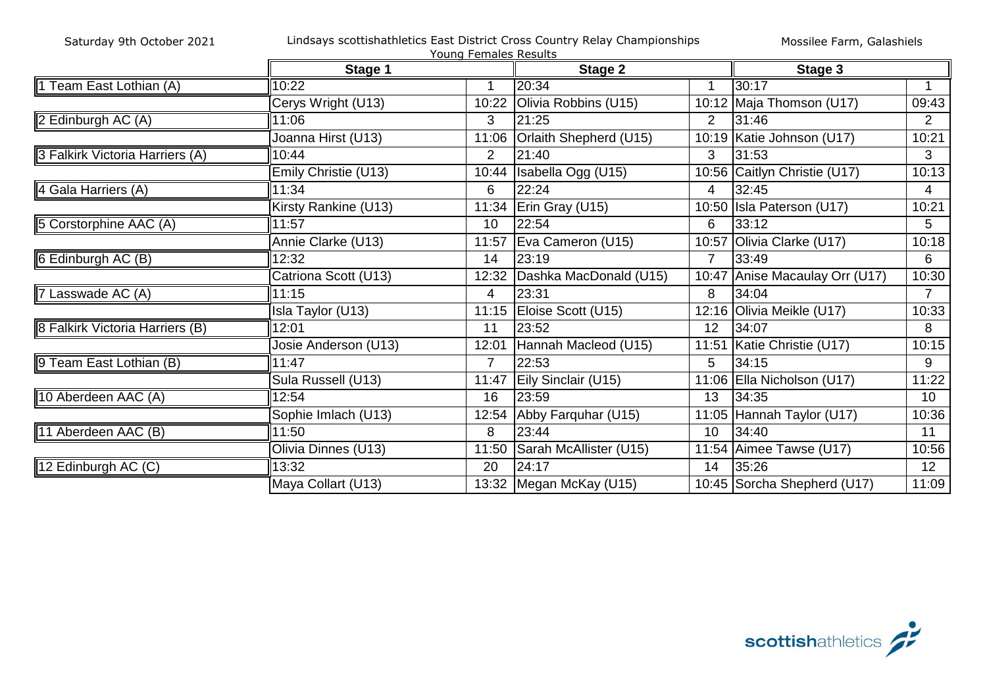|                                 |                      | Young Females Results |                                       |                |                              |                 |
|---------------------------------|----------------------|-----------------------|---------------------------------------|----------------|------------------------------|-----------------|
|                                 | Stage 1              |                       | <b>Stage 2</b>                        |                | Stage 3                      |                 |
| 1 Team East Lothian (A)         | 10:22                |                       | 20:34                                 |                | 30:17                        |                 |
|                                 | Cerys Wright (U13)   | 10:22                 | Olivia Robbins (U15)                  |                | 10:12 Maja Thomson (U17)     | 09:43           |
| 2 Edinburgh AC (A)              | 11:06                | 3                     | 21:25                                 | $\overline{2}$ | 31:46                        | $\overline{2}$  |
|                                 | Joanna Hirst (U13)   | 11:06                 | Orlaith Shepherd (U15)                |                | 10:19 Katie Johnson (U17)    | 10:21           |
| 3 Falkirk Victoria Harriers (A) | 10:44                | $\overline{2}$        | 21:40                                 | 3              | 31:53                        | 3               |
|                                 | Emily Christie (U13) | 10:44                 | Isabella Ogg (U15)                    |                | 10:56 Caitlyn Christie (U17) | 10:13           |
| 4 Gala Harriers (A)             | 11:34                | 6                     | 22:24                                 | 4              | 32:45                        | 4               |
|                                 | Kirsty Rankine (U13) | 11:34                 | Erin Gray (U15)                       |                | 10:50 Isla Paterson (U17)    | 10:21           |
| 5 Corstorphine AAC (A)          | 11:57                | 10                    | 22:54                                 | 6              | 33:12                        | 5 <sup>5</sup>  |
|                                 | Annie Clarke (U13)   | 11:57                 | Eva Cameron (U15)                     | 10:57          | Olivia Clarke (U17)          | 10:18           |
| 6 Edinburgh AC (B)              | 12:32                | 14                    | 23:19                                 | $\overline{7}$ | 33:49                        | 6               |
|                                 | Catriona Scott (U13) | 12:32                 | Dashka MacDonald (U15)                | 10:47          | Anise Macaulay Orr (U17)     | 10:30           |
| 7 Lasswade AC (A)               | 11:15                | 4                     | 23:31                                 | 8              | 34:04                        | $\overline{7}$  |
|                                 | Isla Taylor (U13)    |                       | $\overline{11:15}$ Eloise Scott (U15) |                | 12:16 Olivia Meikle (U17)    | 10:33           |
| 8 Falkirk Victoria Harriers (B) | 12:01                | 11                    | 23:52                                 | 12             | 34:07                        | 8               |
|                                 | Josie Anderson (U13) | 12:01                 | Hannah Macleod (U15)                  | 11:51          | Katie Christie (U17)         | 10:15           |
| 9 Team East Lothian (B)         | 11:47                | $\overline{7}$        | 22:53                                 | 5              | 34:15                        | 9               |
|                                 | Sula Russell (U13)   | 11:47                 | Eily Sinclair (U15)                   |                | 11:06 Ella Nicholson (U17)   | 11:22           |
| 10 Aberdeen AAC (A)             | 12:54                | 16                    | 23:59                                 | 13             | 34:35                        | 10              |
|                                 | Sophie Imlach (U13)  | 12:54                 | Abby Farquhar (U15)                   |                | 11:05 Hannah Taylor (U17)    | 10:36           |
| 11 Aberdeen AAC (B)             | 11:50                | 8                     | 23:44                                 | 10             | 34:40                        | 11              |
|                                 | Olivia Dinnes (U13)  | 11:50                 | Sarah McAllister (U15)                |                | 11:54 Aimee Tawse (U17)      | 10:56           |
| 12 Edinburgh AC (C)             | 13:32                | 20                    | 24:17                                 | 14             | 35:26                        | 12 <sup>2</sup> |
|                                 | Maya Collart (U13)   |                       | 13:32 Megan McKay (U15)               |                | 10:45 Sorcha Shepherd (U17)  | 11:09           |

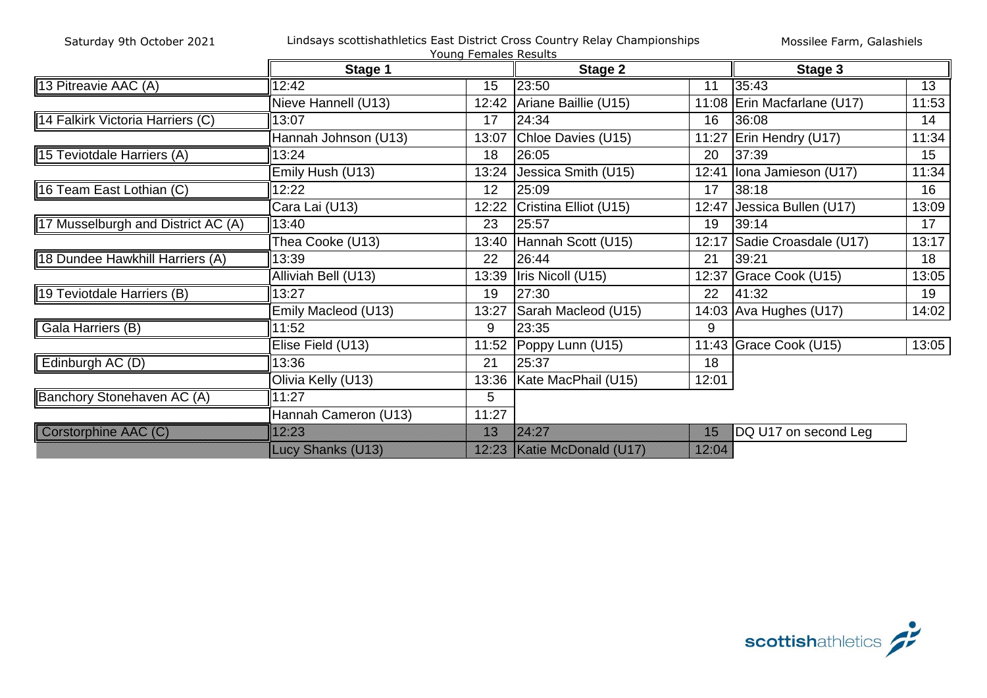|                                    |                      | Young Females Results |                            |       |                             |                 |
|------------------------------------|----------------------|-----------------------|----------------------------|-------|-----------------------------|-----------------|
|                                    | Stage 1              |                       | Stage 2                    |       | Stage 3                     |                 |
| 13 Pitreavie AAC (A)               | 12:42                | 15                    | 23:50                      | 11    | 35:43                       | $\overline{13}$ |
|                                    | Nieve Hannell (U13)  |                       | 12:42 Ariane Baillie (U15) |       | 11:08 Erin Macfarlane (U17) | 11:53           |
| 14 Falkirk Victoria Harriers (C)   | 13:07                | 17                    | 24:34                      | 16    | 36:08                       | 14              |
|                                    | Hannah Johnson (U13) | 13:07                 | Chloe Davies (U15)         | 11:27 | Erin Hendry (U17)           | 11:34           |
| 15 Teviotdale Harriers (A)         | 13:24                | 18                    | 26:05                      | 20    | 37:39                       | 15              |
|                                    | Emily Hush (U13)     | 13:24                 | Jessica Smith (U15)        | 12:41 | Iona Jamieson (U17)         | 11:34           |
| 16 Team East Lothian (C)           | 12:22                | 12                    | 25:09                      | 17    | 38:18                       | 16              |
|                                    | Cara Lai (U13)       | 12:22                 | Cristina Elliot (U15)      | 12:47 | Jessica Bullen (U17)        | 13:09           |
| 17 Musselburgh and District AC (A) | 13:40                | 23                    | 25:57                      | 19    | 39:14                       | 17              |
|                                    | Thea Cooke (U13)     | 13:40                 | Hannah Scott (U15)         | 12:17 | Sadie Croasdale (U17)       | 13:17           |
| 18 Dundee Hawkhill Harriers (A)    | 13:39                | 22                    | 26:44                      | 21    | 39:21                       | 18              |
|                                    | Alliviah Bell (U13)  | 13:39                 | Iris Nicoll (U15)          | 12:37 | Grace Cook (U15)            | 13:05           |
| 19 Teviotdale Harriers (B)         | 13:27                | 19                    | 27:30                      | 22    | 41:32                       | 19              |
|                                    | Emily Macleod (U13)  | 13:27                 | Sarah Macleod (U15)        |       | 14:03 Ava Hughes (U17)      | 14:02           |
| Gala Harriers (B)                  | 11:52                | 9                     | 23:35                      | 9     |                             |                 |
|                                    | Elise Field (U13)    |                       | 11:52 Poppy Lunn (U15)     |       | 11:43 Grace Cook (U15)      | 13:05           |
| Edinburgh AC (D)                   | 13:36                | 21                    | 25:37                      | 18    |                             |                 |
|                                    | Olivia Kelly (U13)   | 13:36                 | Kate MacPhail (U15)        | 12:01 |                             |                 |
| Banchory Stonehaven AC (A)         | 11:27                | 5                     |                            |       |                             |                 |
|                                    | Hannah Cameron (U13) | 11:27                 |                            |       |                             |                 |
| <b>Coistorphine AAC (C)</b>        | 12:23                | m.                    | 24.27                      | B     | DQ U17 on second Leg        |                 |
|                                    | Luoy Shanks (U13)    |                       | 12:23 Katie McDonald (U17) | 12.04 |                             |                 |